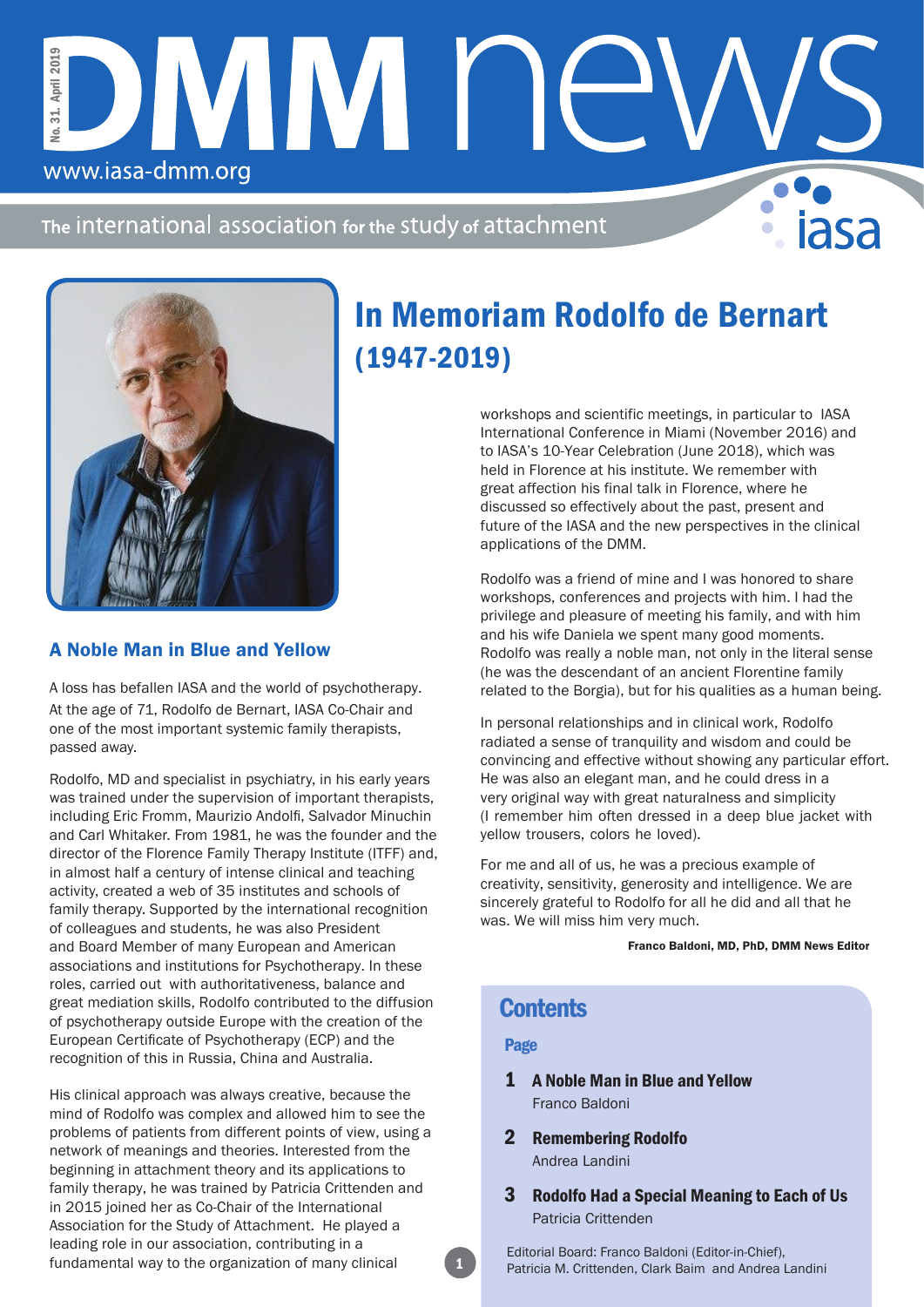The international association for the study of attachment

DMM NE



www.iasa-dmm.org

No. 31. April 2019

No. 31. April 2019

### A Noble Man in Blue and Yellow

A loss has befallen IASA and the world of psychotherapy. At the age of 71, Rodolfo de Bernart, IASA Co-Chair and one of the most important systemic family therapists, passed away.

Rodolfo, MD and specialist in psychiatry, in his early years was trained under the supervision of important therapists, including Eric Fromm, Maurizio Andolfi, Salvador Minuchin and Carl Whitaker. From 1981, he was the founder and the director of the Florence Family Therapy Institute (ITFF) and, in almost half a century of intense clinical and teaching activity, created a web of 35 institutes and schools of family therapy. Supported by the international recognition of colleagues and students, he was also President and Board Member of many European and American associations and institutions for Psychotherapy. In these roles, carried out with authoritativeness, balance and great mediation skills, Rodolfo contributed to the diffusion of psychotherapy outside Europe with the creation of the European Certificate of Psychotherapy (ECP) and the recognition of this in Russia, China and Australia.

His clinical approach was always creative, because the mind of Rodolfo was complex and allowed him to see the problems of patients from different points of view, using a network of meanings and theories. Interested from the beginning in attachment theory and its applications to family therapy, he was trained by Patricia Crittenden and in 2015 joined her as Co-Chair of the International Association for the Study of Attachment. He played a leading role in our association, contributing in a fundamental way to the organization of many clinical

# In Memoriam Rodolfo de Bernart (1947-2019)

workshops and scientific meetings, in particular to IASA International Conference in Miami (November 2016) and to IASA's 10-Year Celebration (June 2018), which was held in Florence at his institute. We remember with great affection his final talk in Florence, where he discussed so effectively about the past, present and future of the IASA and the new perspectives in the clinical applications of the DMM.

Rodolfo was a friend of mine and I was honored to share workshops, conferences and projects with him. I had the privilege and pleasure of meeting his family, and with him and his wife Daniela we spent many good moments. Rodolfo was really a noble man, not only in the literal sense (he was the descendant of an ancient Florentine family related to the Borgia), but for his qualities as a human being.

In personal relationships and in clinical work, Rodolfo radiated a sense of tranquility and wisdom and could be convincing and effective without showing any particular effort. He was also an elegant man, and he could dress in a very original way with great naturalness and simplicity (I remember him often dressed in a deep blue jacket with yellow trousers, colors he loved).

For me and all of us, he was a precious example of creativity, sensitivity, generosity and intelligence. We are sincerely grateful to Rodolfo for all he did and all that he was. We will miss him very much.

Franco Baldoni, MD, PhD, DMM News Editor

## **Contents**

#### Page

- 1 A Noble Man in Blue and Yellow Franco Baldoni
- 2 Remembering Rodolfo Andrea Landini
- 3 Rodolfo Had a Special Meaning to Each of Us Patricia Crittenden

Editorial Board: Franco Baldoni (Editor-in-Chief), Patricia M. Crittenden, Clark Baim and Andrea Landini

1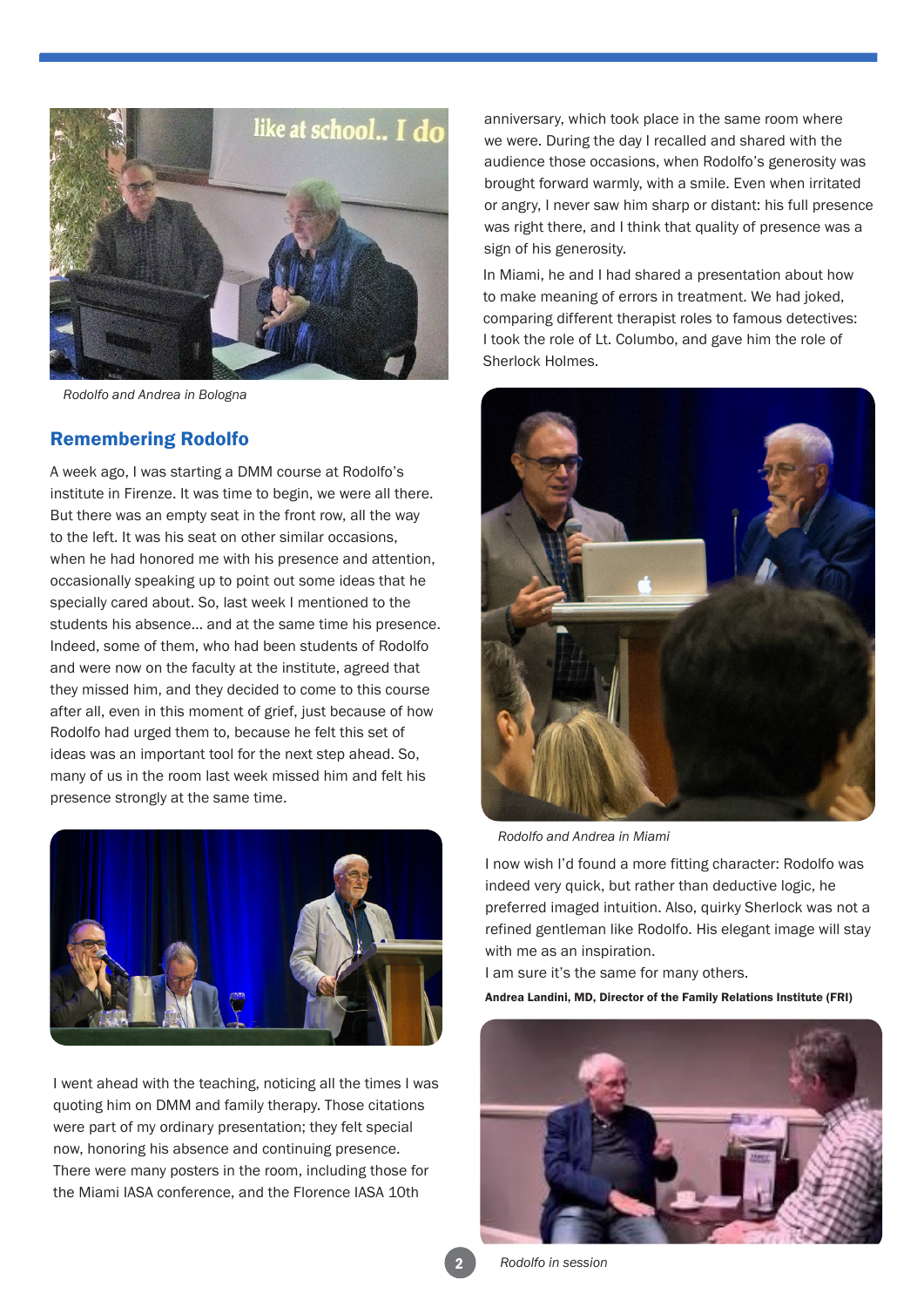

*Rodolfo and Andrea in Bologna*

#### Remembering Rodolfo

A week ago, I was starting a DMM course at Rodolfo's institute in Firenze. It was time to begin, we were all there. But there was an empty seat in the front row, all the way to the left. It was his seat on other similar occasions, when he had honored me with his presence and attention, occasionally speaking up to point out some ideas that he specially cared about. So, last week I mentioned to the students his absence… and at the same time his presence. Indeed, some of them, who had been students of Rodolfo and were now on the faculty at the institute, agreed that they missed him, and they decided to come to this course after all, even in this moment of grief, just because of how Rodolfo had urged them to, because he felt this set of ideas was an important tool for the next step ahead. So, many of us in the room last week missed him and felt his presence strongly at the same time.



I went ahead with the teaching, noticing all the times I was quoting him on DMM and family therapy. Those citations were part of my ordinary presentation; they felt special now, honoring his absence and continuing presence. There were many posters in the room, including those for the Miami IASA conference, and the Florence IASA 10th

anniversary, which took place in the same room where we were. During the day I recalled and shared with the audience those occasions, when Rodolfo's generosity was brought forward warmly, with a smile. Even when irritated or angry, I never saw him sharp or distant: his full presence was right there, and I think that quality of presence was a sign of his generosity.

In Miami, he and I had shared a presentation about how to make meaning of errors in treatment. We had joked, comparing different therapist roles to famous detectives: I took the role of Lt. Columbo, and gave him the role of Sherlock Holmes.



*Rodolfo and Andrea in Miami*

I now wish I'd found a more fitting character: Rodolfo was indeed very quick, but rather than deductive logic, he preferred imaged intuition. Also, quirky Sherlock was not a refined gentleman like Rodolfo. His elegant image will stay with me as an inspiration.

I am sure it's the same for many others.

Andrea Landini, MD, Director of the Family Relations Institute (FRI)



2